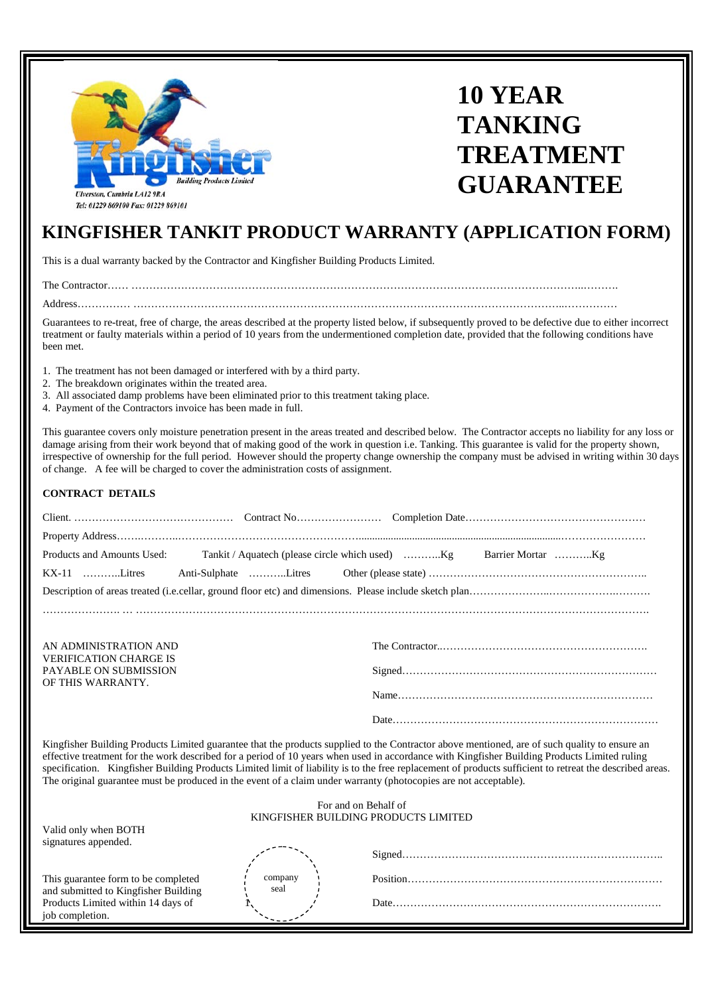

# **10 YEAR TANKING TREATMENT GUARANTEE**

## **KINGFISHER TANKIT PRODUCT WARRANTY (APPLICATION FORM)**

This is a dual warranty backed by the Contractor and Kingfisher Building Products Limited.

The Contractor…… ………………………………………………………………………………………………………………..……….

Address…………… …………………………………………………………………………………………………………..……………

Guarantees to re-treat, free of charge, the areas described at the property listed below, if subsequently proved to be defective due to either incorrect treatment or faulty materials within a period of 10 years from the undermentioned completion date, provided that the following conditions have been met.

- 1. The treatment has not been damaged or interfered with by a third party.
- 2. The breakdown originates within the treated area.
- 3. All associated damp problems have been eliminated prior to this treatment taking place.
- 4. Payment of the Contractors invoice has been made in full.

This guarantee covers only moisture penetration present in the areas treated and described below. The Contractor accepts no liability for any loss or damage arising from their work beyond that of making good of the work in question i.e. Tanking. This guarantee is valid for the property shown, irrespective of ownership for the full period. However should the property change ownership the company must be advised in writing within 30 days of change. A fee will be charged to cover the administration costs of assignment.

#### **CONTRACT DETAILS**

| AN ADMINISTRATION AND<br><b>VERIFICATION CHARGE IS</b> |  |
|--------------------------------------------------------|--|
| <b>PAYABLE ON SUBMISSION</b>                           |  |
| OF THIS WARRANTY.                                      |  |
|                                                        |  |
|                                                        |  |

Kingfisher Building Products Limited guarantee that the products supplied to the Contractor above mentioned, are of such quality to ensure an effective treatment for the work described for a period of 10 years when used in accordance with Kingfisher Building Products Limited ruling specification. Kingfisher Building Products Limited limit of liability is to the free replacement of products sufficient to retreat the described areas. The original guarantee must be produced in the event of a claim under warranty (photocopies are not acceptable).

| For and on Behalf of<br>KINGFISHER BUILDING PRODUCTS LIMITED                |                 |      |  |  |  |  |  |  |  |
|-----------------------------------------------------------------------------|-----------------|------|--|--|--|--|--|--|--|
| Valid only when BOTH<br>signatures appended.                                |                 |      |  |  |  |  |  |  |  |
|                                                                             |                 |      |  |  |  |  |  |  |  |
| This guarantee form to be completed<br>and submitted to Kingfisher Building | company<br>seal |      |  |  |  |  |  |  |  |
| Products Limited within 14 days of<br>job completion.                       |                 | Date |  |  |  |  |  |  |  |